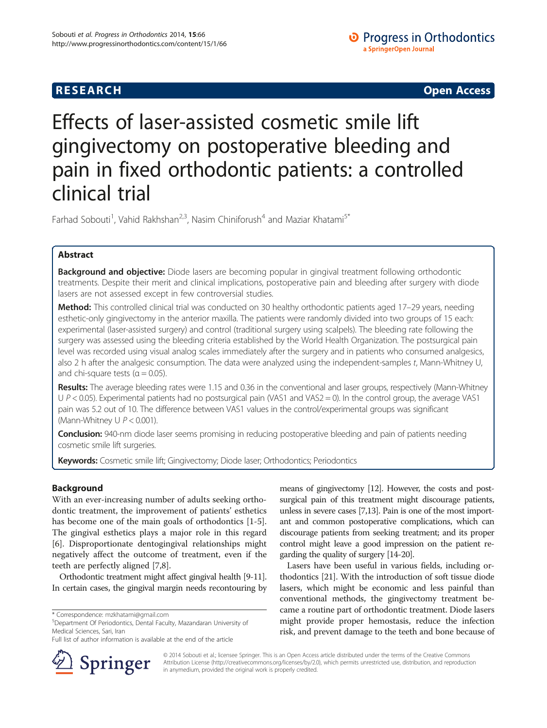## **RESEARCH CHE CHE Open Access**

# Effects of laser-assisted cosmetic smile lift gingivectomy on postoperative bleeding and pain in fixed orthodontic patients: a controlled clinical trial

Farhad Sobouti<sup>1</sup>, Vahid Rakhshan<sup>2,3</sup>, Nasim Chiniforush<sup>4</sup> and Maziar Khatami<sup>5\*</sup>

## Abstract

**Background and objective:** Diode lasers are becoming popular in gingival treatment following orthodontic treatments. Despite their merit and clinical implications, postoperative pain and bleeding after surgery with diode lasers are not assessed except in few controversial studies.

Method: This controlled clinical trial was conducted on 30 healthy orthodontic patients aged 17–29 years, needing esthetic-only gingivectomy in the anterior maxilla. The patients were randomly divided into two groups of 15 each: experimental (laser-assisted surgery) and control (traditional surgery using scalpels). The bleeding rate following the surgery was assessed using the bleeding criteria established by the World Health Organization. The postsurgical pain level was recorded using visual analog scales immediately after the surgery and in patients who consumed analgesics, also 2 h after the analgesic consumption. The data were analyzed using the independent-samples t, Mann-Whitney U, and chi-square tests ( $\alpha$  = 0.05).

Results: The average bleeding rates were 1.15 and 0.36 in the conventional and laser groups, respectively (Mann-Whitney  $U P < 0.05$ ). Experimental patients had no postsurgical pain (VAS1 and VAS2 = 0). In the control group, the average VAS1 pain was 5.2 out of 10. The difference between VAS1 values in the control/experimental groups was significant (Mann-Whitney  $U P < 0.001$ ).

Conclusion: 940-nm diode laser seems promising in reducing postoperative bleeding and pain of patients needing cosmetic smile lift surgeries.

Keywords: Cosmetic smile lift; Gingivectomy; Diode laser; Orthodontics; Periodontics

## Background

With an ever-increasing number of adults seeking orthodontic treatment, the improvement of patients' esthetics has become one of the main goals of orthodontics [[1-5](#page-3-0)]. The gingival esthetics plays a major role in this regard [[6\]](#page-3-0). Disproportionate dentogingival relationships might negatively affect the outcome of treatment, even if the teeth are perfectly aligned [[7,8\]](#page-3-0).

Orthodontic treatment might affect gingival health [\[9-11](#page-3-0)]. In certain cases, the gingival margin needs recontouring by

Department Of Periodontics, Dental Faculty, Mazandaran University of Medical Sciences, Sari, Iran

Full list of author information is available at the end of the article



means of gingivectomy [\[12\]](#page-3-0). However, the costs and postsurgical pain of this treatment might discourage patients, unless in severe cases [\[7,13](#page-3-0)]. Pain is one of the most important and common postoperative complications, which can discourage patients from seeking treatment; and its proper control might leave a good impression on the patient regarding the quality of surgery [\[14-](#page-3-0)[20](#page-4-0)].

Lasers have been useful in various fields, including orthodontics [\[21\]](#page-4-0). With the introduction of soft tissue diode lasers, which might be economic and less painful than conventional methods, the gingivectomy treatment became a routine part of orthodontic treatment. Diode lasers might provide proper hemostasis, reduce the infection risk, and prevent damage to the teeth and bone because of

© 2014 Sobouti et al.; licensee Springer. This is an Open Access article distributed under the terms of the Creative Commons Attribution License [\(http://creativecommons.org/licenses/by/2.0\)](http://creativecommons.org/licenses/by/2.0), which permits unrestricted use, distribution, and reproduction in anymedium, provided the original work is properly credited.

<sup>\*</sup> Correspondence: [mzkhatami@gmail.com](mailto:mzkhatami@gmail.com) <sup>5</sup>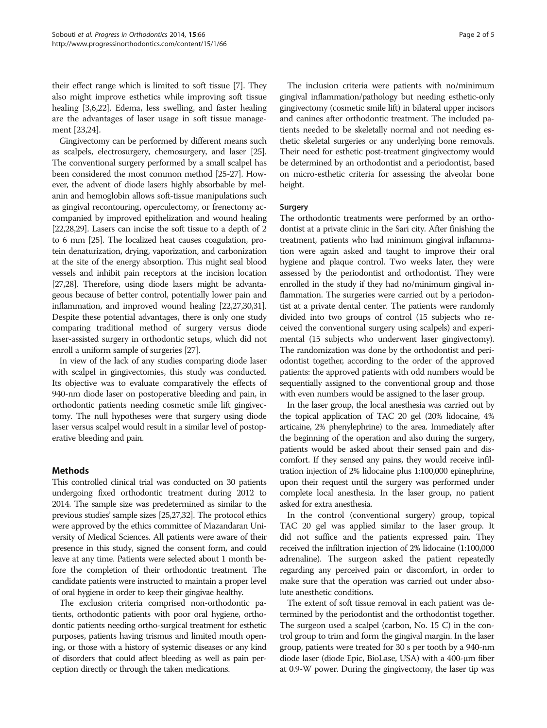their effect range which is limited to soft tissue [[7\]](#page-3-0). They also might improve esthetics while improving soft tissue healing [[3,6](#page-3-0),[22](#page-4-0)]. Edema, less swelling, and faster healing are the advantages of laser usage in soft tissue management [\[23,24\]](#page-4-0).

Gingivectomy can be performed by different means such as scalpels, electrosurgery, chemosurgery, and laser [\[25](#page-4-0)]. The conventional surgery performed by a small scalpel has been considered the most common method [[25-27\]](#page-4-0). However, the advent of diode lasers highly absorbable by melanin and hemoglobin allows soft-tissue manipulations such as gingival recontouring, operculectomy, or frenectomy accompanied by improved epithelization and wound healing [[22,28,29\]](#page-4-0). Lasers can incise the soft tissue to a depth of 2 to 6 mm [\[25\]](#page-4-0). The localized heat causes coagulation, protein denaturization, drying, vaporization, and carbonization at the site of the energy absorption. This might seal blood vessels and inhibit pain receptors at the incision location [[27,28\]](#page-4-0). Therefore, using diode lasers might be advantageous because of better control, potentially lower pain and inflammation, and improved wound healing [[22,27,30,31](#page-4-0)]. Despite these potential advantages, there is only one study comparing traditional method of surgery versus diode laser-assisted surgery in orthodontic setups, which did not enroll a uniform sample of surgeries [[27](#page-4-0)].

In view of the lack of any studies comparing diode laser with scalpel in gingivectomies, this study was conducted. Its objective was to evaluate comparatively the effects of 940-nm diode laser on postoperative bleeding and pain, in orthodontic patients needing cosmetic smile lift gingivectomy. The null hypotheses were that surgery using diode laser versus scalpel would result in a similar level of postoperative bleeding and pain.

## Methods

This controlled clinical trial was conducted on 30 patients undergoing fixed orthodontic treatment during 2012 to 2014. The sample size was predetermined as similar to the previous studies' sample sizes [[25,27,32](#page-4-0)]. The protocol ethics were approved by the ethics committee of Mazandaran University of Medical Sciences. All patients were aware of their presence in this study, signed the consent form, and could leave at any time. Patients were selected about 1 month before the completion of their orthodontic treatment. The candidate patients were instructed to maintain a proper level of oral hygiene in order to keep their gingivae healthy.

The exclusion criteria comprised non-orthodontic patients, orthodontic patients with poor oral hygiene, orthodontic patients needing ortho-surgical treatment for esthetic purposes, patients having trismus and limited mouth opening, or those with a history of systemic diseases or any kind of disorders that could affect bleeding as well as pain perception directly or through the taken medications.

The inclusion criteria were patients with no/minimum gingival inflammation/pathology but needing esthetic-only gingivectomy (cosmetic smile lift) in bilateral upper incisors and canines after orthodontic treatment. The included patients needed to be skeletally normal and not needing esthetic skeletal surgeries or any underlying bone removals. Their need for esthetic post-treatment gingivectomy would be determined by an orthodontist and a periodontist, based on micro-esthetic criteria for assessing the alveolar bone height.

## Surgery

The orthodontic treatments were performed by an orthodontist at a private clinic in the Sari city. After finishing the treatment, patients who had minimum gingival inflammation were again asked and taught to improve their oral hygiene and plaque control. Two weeks later, they were assessed by the periodontist and orthodontist. They were enrolled in the study if they had no/minimum gingival inflammation. The surgeries were carried out by a periodontist at a private dental center. The patients were randomly divided into two groups of control (15 subjects who received the conventional surgery using scalpels) and experimental (15 subjects who underwent laser gingivectomy). The randomization was done by the orthodontist and periodontist together, according to the order of the approved patients: the approved patients with odd numbers would be sequentially assigned to the conventional group and those with even numbers would be assigned to the laser group.

In the laser group, the local anesthesia was carried out by the topical application of TAC 20 gel (20% lidocaine, 4% articaine, 2% phenylephrine) to the area. Immediately after the beginning of the operation and also during the surgery, patients would be asked about their sensed pain and discomfort. If they sensed any pains, they would receive infiltration injection of 2% lidocaine plus 1:100,000 epinephrine, upon their request until the surgery was performed under complete local anesthesia. In the laser group, no patient asked for extra anesthesia.

In the control (conventional surgery) group, topical TAC 20 gel was applied similar to the laser group. It did not suffice and the patients expressed pain. They received the infiltration injection of 2% lidocaine (1:100,000 adrenaline). The surgeon asked the patient repeatedly regarding any perceived pain or discomfort, in order to make sure that the operation was carried out under absolute anesthetic conditions.

The extent of soft tissue removal in each patient was determined by the periodontist and the orthodontist together. The surgeon used a scalpel (carbon, No. 15 C) in the control group to trim and form the gingival margin. In the laser group, patients were treated for 30 s per tooth by a 940-nm diode laser (diode Epic, BioLase, USA) with a 400-μm fiber at 0.9-W power. During the gingivectomy, the laser tip was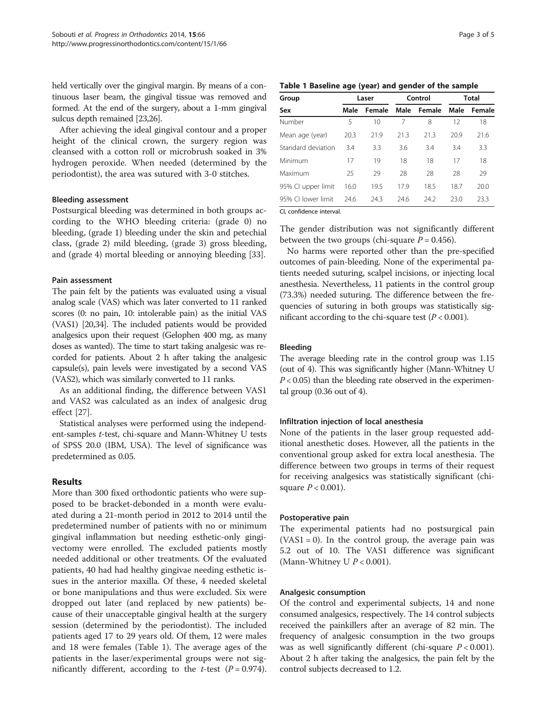held vertically over the gingival margin. By means of a continuous laser beam, the gingival tissue was removed and formed. At the end of the surgery, about a 1-mm gingival sulcus depth remained [[23,26\]](#page-4-0).

After achieving the ideal gingival contour and a proper height of the clinical crown, the surgery region was cleansed with a cotton roll or microbrush soaked in 3% hydrogen peroxide. When needed (determined by the periodontist), the area was sutured with 3-0 stitches.

#### Bleeding assessment

Postsurgical bleeding was determined in both groups according to the WHO bleeding criteria: (grade 0) no bleeding, (grade 1) bleeding under the skin and petechial class, (grade 2) mild bleeding, (grade 3) gross bleeding, and (grade 4) mortal bleeding or annoying bleeding [\[33](#page-4-0)].

#### Pain assessment

The pain felt by the patients was evaluated using a visual analog scale (VAS) which was later converted to 11 ranked scores (0: no pain, 10: intolerable pain) as the initial VAS (VAS1) [\[20,34](#page-4-0)]. The included patients would be provided analgesics upon their request (Gelophen 400 mg, as many doses as wanted). The time to start taking analgesic was recorded for patients. About 2 h after taking the analgesic capsule(s), pain levels were investigated by a second VAS (VAS2), which was similarly converted to 11 ranks.

As an additional finding, the difference between VAS1 and VAS2 was calculated as an index of analgesic drug effect [[27\]](#page-4-0).

Statistical analyses were performed using the independent-samples t-test, chi-square and Mann-Whitney U tests of SPSS 20.0 (IBM, USA). The level of significance was predetermined as 0.05.

#### Results

More than 300 fixed orthodontic patients who were supposed to be bracket-debonded in a month were evaluated during a 21-month period in 2012 to 2014 until the predetermined number of patients with no or minimum gingival inflammation but needing esthetic-only gingivectomy were enrolled. The excluded patients mostly needed additional or other treatments. Of the evaluated patients, 40 had had healthy gingivae needing esthetic issues in the anterior maxilla. Of these, 4 needed skeletal or bone manipulations and thus were excluded. Six were dropped out later (and replaced by new patients) because of their unacceptable gingival health at the surgery session (determined by the periodontist). The included patients aged 17 to 29 years old. Of them, 12 were males and 18 were females (Table 1). The average ages of the patients in the laser/experimental groups were not significantly different, according to the *t*-test ( $P = 0.974$ ).

#### Table 1 Baseline age (year) and gender of the sample

| Group<br>Sex       | Laser |        | Control |        | <b>Total</b> |        |
|--------------------|-------|--------|---------|--------|--------------|--------|
|                    | Male  | Female | Male    | Female | Male         | Female |
| Number             | 5     | 10     |         | 8      | 12           | 18     |
| Mean age (year)    | 20.3  | 21.9   | 21.3    | 21.3   | 20.9         | 21.6   |
| Standard deviation | 3.4   | 3.3    | 3.6     | 3.4    | 3.4          | 3.3    |
| Minimum            | 17    | 19     | 18      | 18     | 17           | 18     |
| Maximum            | 25    | 29     | 28      | 28     | 28           | 29     |
| 95% CI upper limit | 16.0  | 19.5   | 17.9    | 18.5   | 18.7         | 20.0   |
| 95% CL lower limit | 246   | 24.3   | 24.6    | 24.2   | 23.0         | 23.3   |

CI, confidence interval.

The gender distribution was not significantly different between the two groups (chi-square  $P = 0.456$ ).

No harms were reported other than the pre-specified outcomes of pain-bleeding. None of the experimental patients needed suturing, scalpel incisions, or injecting local anesthesia. Nevertheless, 11 patients in the control group (73.3%) needed suturing. The difference between the frequencies of suturing in both groups was statistically significant according to the chi-square test  $(P < 0.001)$ .

#### Bleeding

The average bleeding rate in the control group was 1.15 (out of 4). This was significantly higher (Mann-Whitney U  $P < 0.05$ ) than the bleeding rate observed in the experimental group (0.36 out of 4).

#### Infiltration injection of local anesthesia

None of the patients in the laser group requested additional anesthetic doses. However, all the patients in the conventional group asked for extra local anesthesia. The difference between two groups in terms of their request for receiving analgesics was statistically significant (chisquare  $P < 0.001$ ).

#### Postoperative pain

The experimental patients had no postsurgical pain  $(VAS1 = 0)$ . In the control group, the average pain was 5.2 out of 10. The VAS1 difference was significant (Mann-Whitney U  $P < 0.001$ ).

### Analgesic consumption

Of the control and experimental subjects, 14 and none consumed analgesics, respectively. The 14 control subjects received the painkillers after an average of 82 min. The frequency of analgesic consumption in the two groups was as well significantly different (chi-square  $P < 0.001$ ). About 2 h after taking the analgesics, the pain felt by the control subjects decreased to 1.2.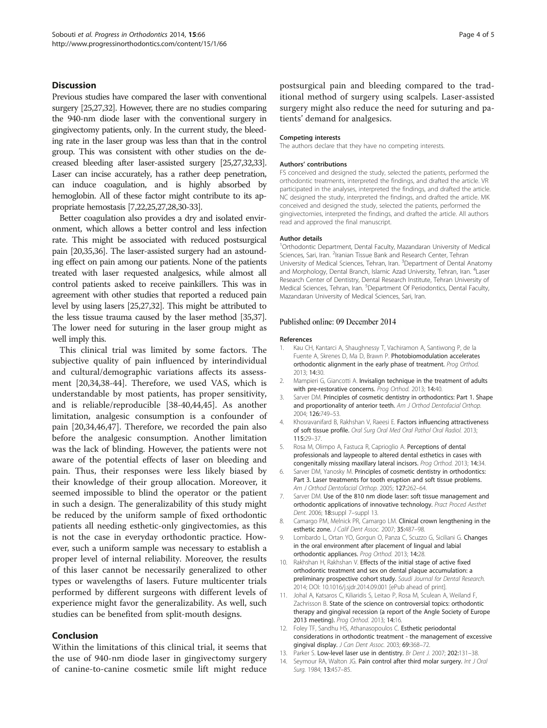## <span id="page-3-0"></span>Discussion

Previous studies have compared the laser with conventional surgery [[25,27,32\]](#page-4-0). However, there are no studies comparing the 940-nm diode laser with the conventional surgery in gingivectomy patients, only. In the current study, the bleeding rate in the laser group was less than that in the control group. This was consistent with other studies on the decreased bleeding after laser-assisted surgery [[25,27,32,33\]](#page-4-0). Laser can incise accurately, has a rather deep penetration, can induce coagulation, and is highly absorbed by hemoglobin. All of these factor might contribute to its appropriate hemostasis [7,[22,25,27,28,30-33\]](#page-4-0).

Better coagulation also provides a dry and isolated environment, which allows a better control and less infection rate. This might be associated with reduced postsurgical pain [[20,35,36](#page-4-0)]. The laser-assisted surgery had an astounding effect on pain among our patients. None of the patients treated with laser requested analgesics, while almost all control patients asked to receive painkillers. This was in agreement with other studies that reported a reduced pain level by using lasers [[25,27,32\]](#page-4-0). This might be attributed to the less tissue trauma caused by the laser method [[35,37](#page-4-0)]. The lower need for suturing in the laser group might as well imply this.

This clinical trial was limited by some factors. The subjective quality of pain influenced by interindividual and cultural/demographic variations affects its assessment [[20,34,38-44\]](#page-4-0). Therefore, we used VAS, which is understandable by most patients, has proper sensitivity, and is reliable/reproducible [[38-40,44,45\]](#page-4-0). As another limitation, analgesic consumption is a confounder of pain [\[20,34,46,47\]](#page-4-0). Therefore, we recorded the pain also before the analgesic consumption. Another limitation was the lack of blinding. However, the patients were not aware of the potential effects of laser on bleeding and pain. Thus, their responses were less likely biased by their knowledge of their group allocation. Moreover, it seemed impossible to blind the operator or the patient in such a design. The generalizability of this study might be reduced by the uniform sample of fixed orthodontic patients all needing esthetic-only gingivectomies, as this is not the case in everyday orthodontic practice. However, such a uniform sample was necessary to establish a proper level of internal reliability. Moreover, the results of this laser cannot be necessarily generalized to other types or wavelengths of lasers. Future multicenter trials performed by different surgeons with different levels of experience might favor the generalizability. As well, such studies can be benefited from split-mouth designs.

## Conclusion

Within the limitations of this clinical trial, it seems that the use of 940-nm diode laser in gingivectomy surgery of canine-to-canine cosmetic smile lift might reduce postsurgical pain and bleeding compared to the traditional method of surgery using scalpels. Laser-assisted surgery might also reduce the need for suturing and patients' demand for analgesics.

#### Competing interests

The authors declare that they have no competing interests.

#### Authors' contributions

FS conceived and designed the study, selected the patients, performed the orthodontic treatments, interpreted the findings, and drafted the article. VR participated in the analyses, interpreted the findings, and drafted the article. NC designed the study, interpreted the findings, and drafted the article. MK conceived and designed the study, selected the patients, performed the gingivectomies, interpreted the findings, and drafted the article. All authors read and approved the final manuscript.

#### Author details

<sup>1</sup>Orthodontic Department, Dental Faculty, Mazandaran University of Medical Sciences, Sari, Iran. <sup>2</sup>Iranian Tissue Bank and Research Center, Tehran University of Medical Sciences, Tehran, Iran. <sup>3</sup> Department of Dental Anatomy and Morphology, Dental Branch, Islamic Azad University, Tehran, Iran. <sup>4</sup>Laser Research Center of Dentistry, Dental Research Institute, Tehran University of Medical Sciences, Tehran, Iran. <sup>5</sup>Department Of Periodontics, Dental Faculty Mazandaran University of Medical Sciences, Sari, Iran.

#### Published online: 09 December 2014

#### **References**

- 1. Kau CH, Kantarci A, Shaughnessy T, Vachiramon A, Santiwong P, de la Fuente A, Skrenes D, Ma D, Brawn P. Photobiomodulation accelerates orthodontic alignment in the early phase of treatment. Prog Orthod. 2013; 14:30.
- 2. Mampieri G, Giancotti A. Invisalign technique in the treatment of adults with pre-restorative concerns. Prog Orthod. 2013; 14:40.
- 3. Sarver DM. Principles of cosmetic dentistry in orthodontics: Part 1. Shape and proportionality of anterior teeth. Am J Orthod Dentofacial Orthop. 2004; 126:749–53.
- Khosravanifard B, Rakhshan V, Raeesi E. Factors influencing attractiveness of soft tissue profile. Oral Surg Oral Med Oral Pathol Oral Radiol. 2013; 115:29–37.
- 5. Rosa M, Olimpo A, Fastuca R, Caprioglio A. Perceptions of dental professionals and laypeople to altered dental esthetics in cases with congenitally missing maxillary lateral incisors. Prog Orthod. 2013; 14:34.
- 6. Sarver DM, Yanosky M. Principles of cosmetic dentistry in orthodontics: Part 3. Laser treatments for tooth eruption and soft tissue problems. Am J Orthod Dentofacial Orthop. 2005; 127:262-64.
- 7. Sarver DM. Use of the 810 nm diode laser: soft tissue management and orthodontic applications of innovative technology. Pract Proced Aesthet Dent. 2006; 18:suppl 7–suppl 13.
- 8. Camargo PM, Melnick PR, Camargo LM. Clinical crown lengthening in the esthetic zone. J Calif Dent Assoc. 2007; 35:487–98.
- Lombardo L, Ortan YO, Gorgun O, Panza C, Scuzzo G, Siciliani G. Changes in the oral environment after placement of lingual and labial orthodontic appliances. Prog Orthod. 2013; 14:28.
- 10. Rakhshan H, Rakhshan V. Effects of the initial stage of active fixed orthodontic treatment and sex on dental plaque accumulation: a preliminary prospective cohort study. Saudi Journal for Dental Research. 2014; DOI: 10.1016/j.sjdr.2014.09.001 [ePub ahead of print].
- 11. Johal A, Katsaros C, Kiliaridis S, Leitao P, Rosa M, Sculean A, Weiland F, Zachrisson B. State of the science on controversial topics: orthodontic therapy and gingival recession (a report of the Angle Society of Europe 2013 meeting). Prog Orthod. 2013; 14:16.
- 12. Foley TF, Sandhu HS, Athanasopoulos C. Esthetic periodontal considerations in orthodontic treatment - the management of excessive gingival display. J Can Dent Assoc. 2003; 69:368-72.
- 13. Parker S. Low-level laser use in dentistry. Br Dent J. 2007; 202:131-38.
- 14. Seymour RA, Walton JG. Pain control after third molar surgery. Int J Oral Surg. 1984; 13:457–85.